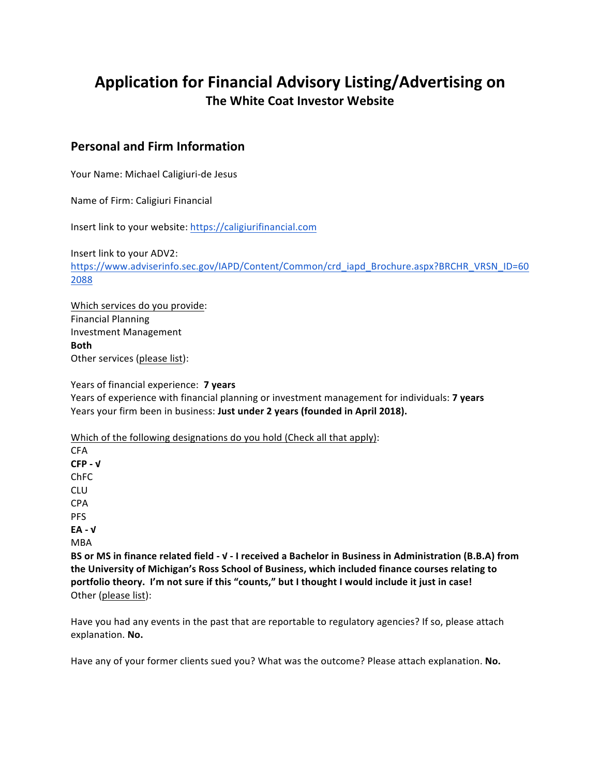# Application for Financial Advisory Listing/Advertising on **The White Coat Investor Website**

## **Personal and Firm Information**

Your Name: Michael Caligiuri-de Jesus

Name of Firm: Caligiuri Financial

Insert link to your website: https://caligiurifinancial.com

Insert link to your ADV2: https://www.adviserinfo.sec.gov/IAPD/Content/Common/crd\_iapd\_Brochure.aspx?BRCHR\_VRSN\_ID=60 2088

Which services do you provide: Financial Planning Investment Management **Both** Other services (please list):

Years of financial experience: **7 years** Years of experience with financial planning or investment management for individuals: **7 years** 

Years your firm been in business: Just under 2 years (founded in April 2018).

Which of the following designations do you hold (Check all that apply):

CFA **CFP - √** ChFC CLU CPA PFS **EA - √** MBA

BS or MS in finance related field -  $V$  - I received a Bachelor in Business in Administration (B.B.A) from the University of Michigan's Ross School of Business, which included finance courses relating to portfolio theory. I'm not sure if this "counts," but I thought I would include it just in case! Other (please list):

Have you had any events in the past that are reportable to regulatory agencies? If so, please attach explanation. **No.**

Have any of your former clients sued you? What was the outcome? Please attach explanation. **No.**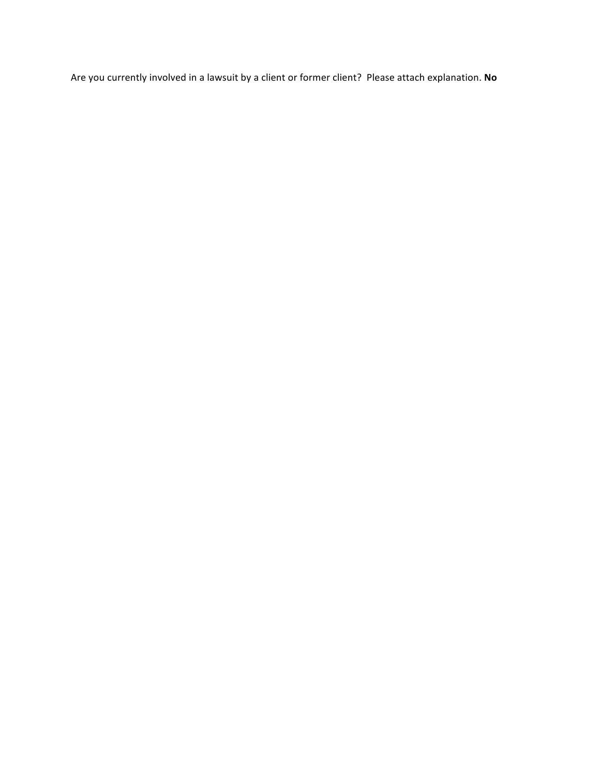Are you currently involved in a lawsuit by a client or former client? Please attach explanation. No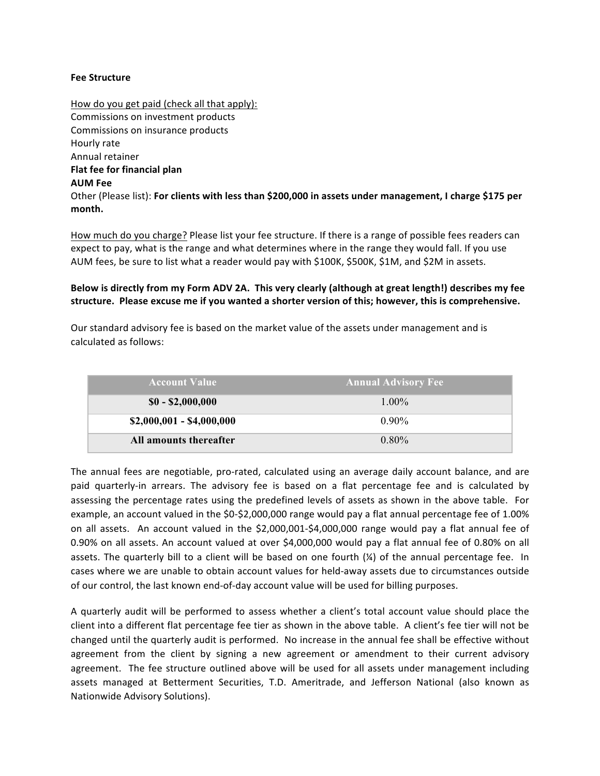#### **Fee Structure**

How do you get paid (check all that apply): Commissions on investment products Commissions on insurance products Hourly rate Annual retainer **Flat fee for financial plan AUM Fee** Other (Please list): For clients with less than \$200,000 in assets under management, I charge \$175 per **month.**

How much do you charge? Please list your fee structure. If there is a range of possible fees readers can expect to pay, what is the range and what determines where in the range they would fall. If you use AUM fees, be sure to list what a reader would pay with \$100K, \$500K, \$1M, and \$2M in assets.

#### Below is directly from my Form ADV 2A. This very clearly (although at great length!) describes my fee structure. Please excuse me if you wanted a shorter version of this; however, this is comprehensive.

Our standard advisory fee is based on the market value of the assets under management and is calculated as follows:

| <b>Account Value</b>      | <b>Annual Advisory Fee</b> |
|---------------------------|----------------------------|
| $$0 - $2,000,000$         | $1.00\%$                   |
| $$2,000,001 - $4,000,000$ | $0.90\%$                   |
| All amounts thereafter    | $0.80\%$                   |

The annual fees are negotiable, pro-rated, calculated using an average daily account balance, and are paid quarterly-in arrears. The advisory fee is based on a flat percentage fee and is calculated by assessing the percentage rates using the predefined levels of assets as shown in the above table. For example, an account valued in the \$0-\$2,000,000 range would pay a flat annual percentage fee of 1.00% on all assets. An account valued in the \$2,000,001-\$4,000,000 range would pay a flat annual fee of 0.90% on all assets. An account valued at over \$4,000,000 would pay a flat annual fee of 0.80% on all assets. The quarterly bill to a client will be based on one fourth  $\chi$ ) of the annual percentage fee. In cases where we are unable to obtain account values for held-away assets due to circumstances outside of our control, the last known end-of-day account value will be used for billing purposes.

A quarterly audit will be performed to assess whether a client's total account value should place the client into a different flat percentage fee tier as shown in the above table. A client's fee tier will not be changed until the quarterly audit is performed. No increase in the annual fee shall be effective without agreement from the client by signing a new agreement or amendment to their current advisory agreement. The fee structure outlined above will be used for all assets under management including assets managed at Betterment Securities, T.D. Ameritrade, and Jefferson National (also known as Nationwide Advisory Solutions).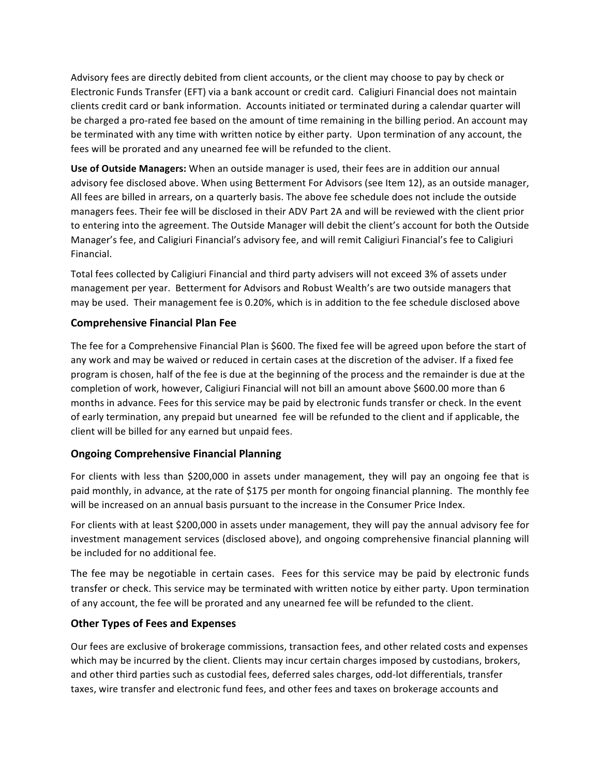Advisory fees are directly debited from client accounts, or the client may choose to pay by check or Electronic Funds Transfer (EFT) via a bank account or credit card. Caligiuri Financial does not maintain clients credit card or bank information. Accounts initiated or terminated during a calendar quarter will be charged a pro-rated fee based on the amount of time remaining in the billing period. An account may be terminated with any time with written notice by either party. Upon termination of any account, the fees will be prorated and any unearned fee will be refunded to the client.

**Use of Outside Managers:** When an outside manager is used, their fees are in addition our annual advisory fee disclosed above. When using Betterment For Advisors (see Item 12), as an outside manager, All fees are billed in arrears, on a quarterly basis. The above fee schedule does not include the outside managers fees. Their fee will be disclosed in their ADV Part 2A and will be reviewed with the client prior to entering into the agreement. The Outside Manager will debit the client's account for both the Outside Manager's fee, and Caligiuri Financial's advisory fee, and will remit Caligiuri Financial's fee to Caligiuri Financial. 

Total fees collected by Caligiuri Financial and third party advisers will not exceed 3% of assets under management per year. Betterment for Advisors and Robust Wealth's are two outside managers that may be used. Their management fee is 0.20%, which is in addition to the fee schedule disclosed above

### **Comprehensive Financial Plan Fee**

The fee for a Comprehensive Financial Plan is \$600. The fixed fee will be agreed upon before the start of any work and may be waived or reduced in certain cases at the discretion of the adviser. If a fixed fee program is chosen, half of the fee is due at the beginning of the process and the remainder is due at the completion of work, however, Caligiuri Financial will not bill an amount above \$600.00 more than 6 months in advance. Fees for this service may be paid by electronic funds transfer or check. In the event of early termination, any prepaid but unearned fee will be refunded to the client and if applicable, the client will be billed for any earned but unpaid fees.

### **Ongoing Comprehensive Financial Planning**

For clients with less than \$200,000 in assets under management, they will pay an ongoing fee that is paid monthly, in advance, at the rate of \$175 per month for ongoing financial planning. The monthly fee will be increased on an annual basis pursuant to the increase in the Consumer Price Index.

For clients with at least \$200,000 in assets under management, they will pay the annual advisory fee for investment management services (disclosed above), and ongoing comprehensive financial planning will be included for no additional fee.

The fee may be negotiable in certain cases. Fees for this service may be paid by electronic funds transfer or check. This service may be terminated with written notice by either party. Upon termination of any account, the fee will be prorated and any unearned fee will be refunded to the client.

### **Other Types of Fees and Expenses**

Our fees are exclusive of brokerage commissions, transaction fees, and other related costs and expenses which may be incurred by the client. Clients may incur certain charges imposed by custodians, brokers, and other third parties such as custodial fees, deferred sales charges, odd-lot differentials, transfer taxes, wire transfer and electronic fund fees, and other fees and taxes on brokerage accounts and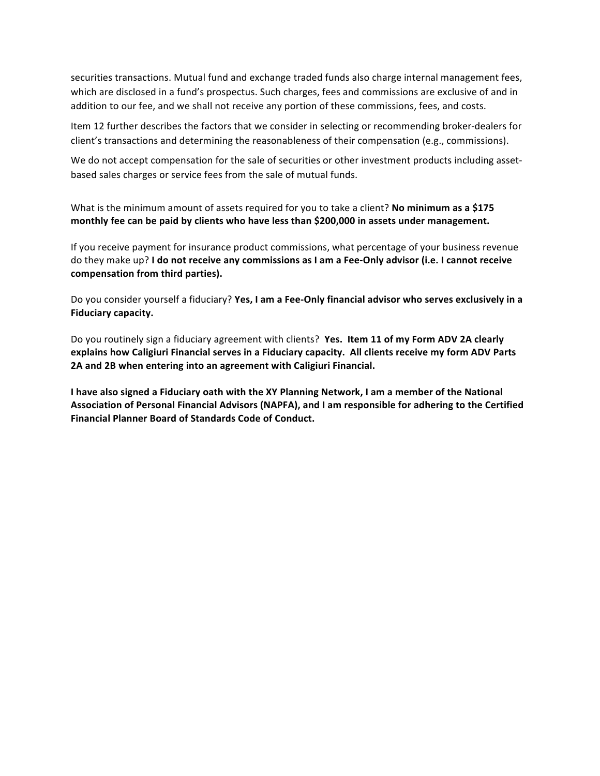securities transactions. Mutual fund and exchange traded funds also charge internal management fees, which are disclosed in a fund's prospectus. Such charges, fees and commissions are exclusive of and in addition to our fee, and we shall not receive any portion of these commissions, fees, and costs.

Item 12 further describes the factors that we consider in selecting or recommending broker-dealers for client's transactions and determining the reasonableness of their compensation (e.g., commissions).

We do not accept compensation for the sale of securities or other investment products including assetbased sales charges or service fees from the sale of mutual funds.

What is the minimum amount of assets required for you to take a client? **No minimum as a \$175** monthly fee can be paid by clients who have less than \$200,000 in assets under management.

If you receive payment for insurance product commissions, what percentage of your business revenue do they make up? I do not receive any commissions as I am a Fee-Only advisor (i.e. I cannot receive compensation from third parties).

Do you consider yourself a fiduciary? Yes, I am a Fee-Only financial advisor who serves exclusively in a **Fiduciary capacity.**

Do you routinely sign a fiduciary agreement with clients? Yes. Item 11 of my Form ADV 2A clearly explains how Caligiuri Financial serves in a Fiduciary capacity. All clients receive my form ADV Parts 2A and 2B when entering into an agreement with Caligiuri Financial.

I have also signed a Fiduciary oath with the XY Planning Network, I am a member of the National Association of Personal Financial Advisors (NAPFA), and I am responsible for adhering to the Certified **Financial Planner Board of Standards Code of Conduct.**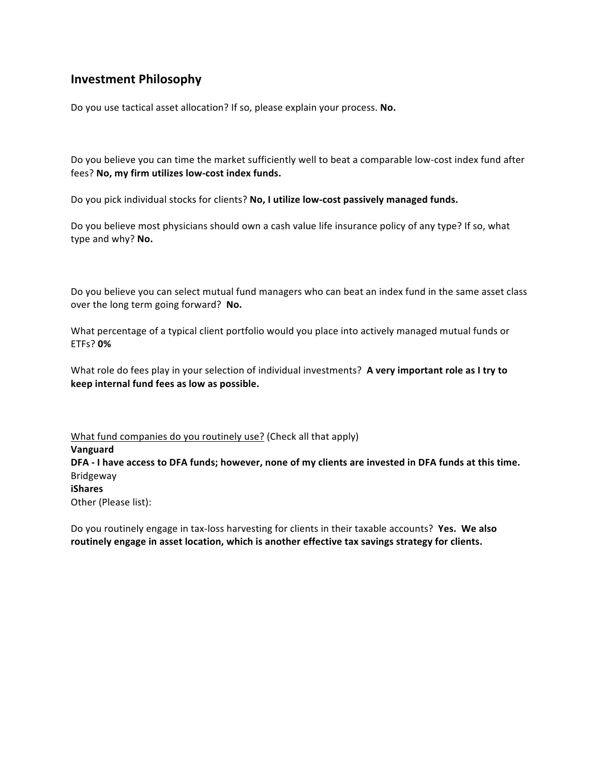## **Investment Philosophy**

Do you use tactical asset allocation? If so, please explain your process. No.

Do you believe you can time the market sufficiently well to beat a comparable low-cost index fund after fees? No, my firm utilizes low-cost index funds.

Do you pick individual stocks for clients? No, I utilize low-cost passively managed funds.

Do you believe most physicians should own a cash value life insurance policy of any type? If so, what type and why? No.

Do you believe you can select mutual fund managers who can beat an index fund in the same asset class over the long term going forward? No.

What percentage of a typical client portfolio would you place into actively managed mutual funds or ETFs? **0%**

What role do fees play in your selection of individual investments? A very important role as I try to **keep internal fund fees as low as possible.**

What fund companies do you routinely use? (Check all that apply) **Vanguard** DFA - I have access to DFA funds; however, none of my clients are invested in DFA funds at this time. Bridgeway **iShares** Other (Please list):

Do you routinely engage in tax-loss harvesting for clients in their taxable accounts? Yes. We also routinely engage in asset location, which is another effective tax savings strategy for clients.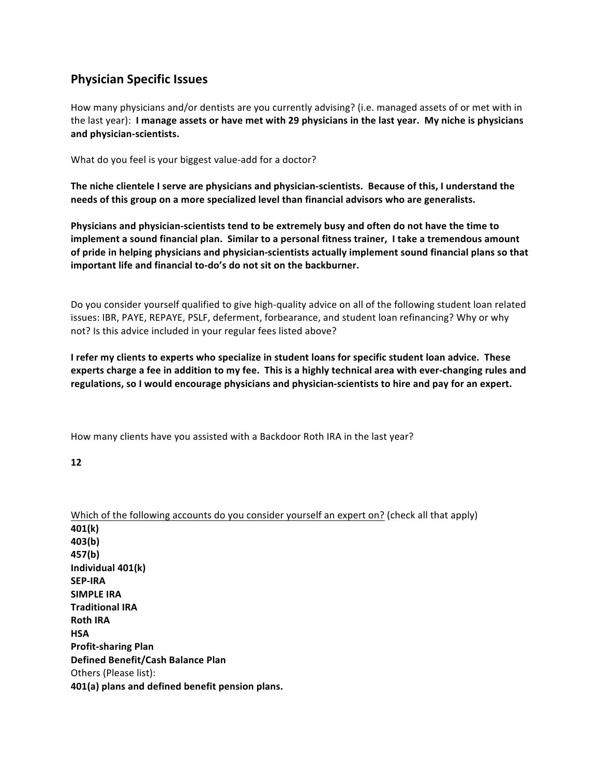## **Physician Specific Issues**

How many physicians and/or dentists are you currently advising? (i.e. managed assets of or met with in the last year): I manage assets or have met with 29 physicians in the last year. My niche is physicians **and physician-scientists.**

What do you feel is your biggest value-add for a doctor?

The niche clientele I serve are physicians and physician-scientists. Because of this, I understand the needs of this group on a more specialized level than financial advisors who are generalists.

Physicians and physician-scientists tend to be extremely busy and often do not have the time to **implement a sound financial plan. Similar to a personal fitness trainer, I take a tremendous amount** of pride in helping physicians and physician-scientists actually implement sound financial plans so that important life and financial to-do's do not sit on the backburner.

Do you consider yourself qualified to give high-quality advice on all of the following student loan related issues: IBR, PAYE, REPAYE, PSLF, deferment, forbearance, and student loan refinancing? Why or why not? Is this advice included in your regular fees listed above?

I refer my clients to experts who specialize in student loans for specific student loan advice. These experts charge a fee in addition to my fee. This is a highly technical area with ever-changing rules and regulations, so I would encourage physicians and physician-scientists to hire and pay for an expert.

How many clients have you assisted with a Backdoor Roth IRA in the last year?

**12**

Which of the following accounts do you consider yourself an expert on? (check all that apply) **401(k) 403(b) 457(b) Individual 401(k) SEP-IRA SIMPLE IRA Traditional IRA Roth IRA HSA Profit-sharing Plan Defined Benefit/Cash Balance Plan** Others (Please list): **401(a)** plans and defined benefit pension plans.